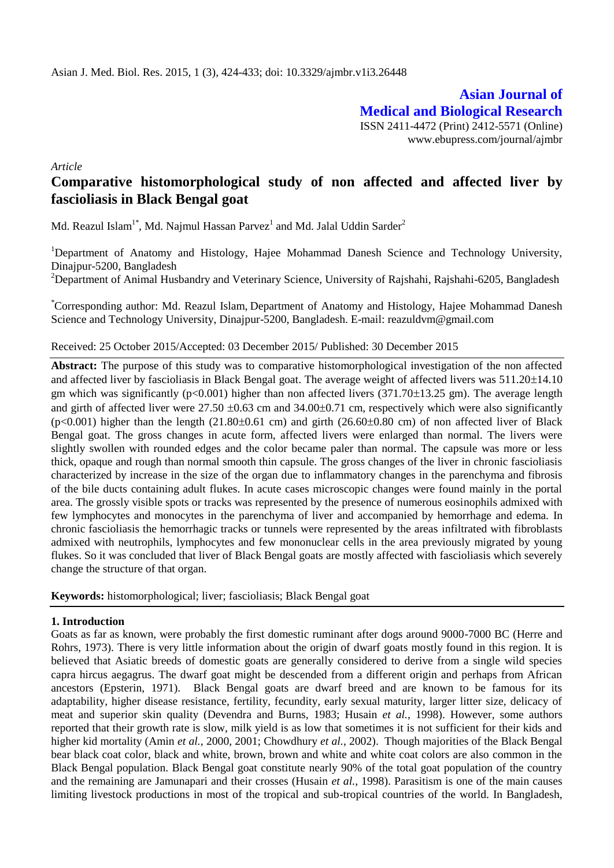**Asian Journal of Medical and Biological Research** ISSN 2411-4472 (Print) 2412-5571 (Online) www.ebupress.com/journal/ajmbr

*Article*

# **Comparative histomorphological study of non affected and affected liver by fascioliasis in Black Bengal goat**

Md. Reazul Islam $^{1*}$ , Md. Najmul Hassan Parvez $^{1}$  and Md. Jalal Uddin Sarder $^{2}$ 

<sup>1</sup>Department of Anatomy and Histology, Hajee Mohammad Danesh Science and Technology University, Dinajpur-5200, Bangladesh

<sup>2</sup>Department of Animal Husbandry and Veterinary Science, University of Rajshahi, Rajshahi-6205, Bangladesh

\*Corresponding author: Md. Reazul Islam, Department of Anatomy and Histology, Hajee Mohammad Danesh Science and Technology University, Dinajpur-5200, Bangladesh. E-mail: reazuldvm@gmail.com

### Received: 25 October 2015/Accepted: 03 December 2015/ Published: 30 December 2015

**Abstract:** The purpose of this study was to comparative histomorphological investigation of the non affected and affected liver by fascioliasis in Black Bengal goat. The average weight of affected livers was 511.20±14.10 gm which was significantly ( $p<0.001$ ) higher than non affected livers (371.70 $\pm$ 13.25 gm). The average length and girth of affected liver were  $27.50 \pm 0.63$  cm and  $34.00 \pm 0.71$  cm, respectively which were also significantly  $(p<0.001)$  higher than the length  $(21.80\pm0.61)$  cm and girth  $(26.60\pm0.80)$  cm of non affected liver of Black Bengal goat. The gross changes in acute form, affected livers were enlarged than normal. The livers were slightly swollen with rounded edges and the color became paler than normal. The capsule was more or less thick, opaque and rough than normal smooth thin capsule. The gross changes of the liver in chronic fascioliasis characterized by increase in the size of the organ due to inflammatory changes in the parenchyma and fibrosis of the bile ducts containing adult flukes. In acute cases microscopic changes were found mainly in the portal area. The grossly visible spots or tracks was represented by the presence of numerous eosinophils admixed with few lymphocytes and monocytes in the parenchyma of liver and accompanied by hemorrhage and edema. In chronic fascioliasis the hemorrhagic tracks or tunnels were represented by the areas infiltrated with fibroblasts admixed with neutrophils, lymphocytes and few mononuclear cells in the area previously migrated by young flukes. So it was concluded that liver of Black Bengal goats are mostly affected with fascioliasis which severely change the structure of that organ.

**Keywords:** histomorphological; liver; fascioliasis; Black Bengal goat

### **1. Introduction**

Goats as far as known, were probably the first domestic ruminant after dogs around 9000-7000 BC (Herre and Rohrs, 1973). There is very little information about the origin of dwarf goats mostly found in this region. It is believed that Asiatic breeds of domestic goats are generally considered to derive from a single wild species capra hircus aegagrus. The dwarf goat might be descended from a different origin and perhaps from African ancestors (Epsterin, 1971). Black Bengal goats are dwarf breed and are known to be famous for its adaptability, higher disease resistance, fertility, fecundity, early sexual maturity, larger litter size, delicacy of meat and superior skin quality (Devendra and Burns, 1983; Husain *et al.*, 1998). However, some authors reported that their growth rate is slow, milk yield is as low that sometimes it is not sufficient for their kids and higher kid mortality (Amin *et al.*, 2000, 2001; Chowdhury *et al.*, 2002). Though majorities of the Black Bengal bear black coat color, black and white, brown, brown and white and white coat colors are also common in the Black Bengal population. Black Bengal goat constitute nearly 90% of the total goat population of the country and the remaining are Jamunapari and their crosses (Husain *et al.*, 1998). Parasitism is one of the main causes limiting livestock productions in most of the tropical and sub-tropical countries of the world. In Bangladesh,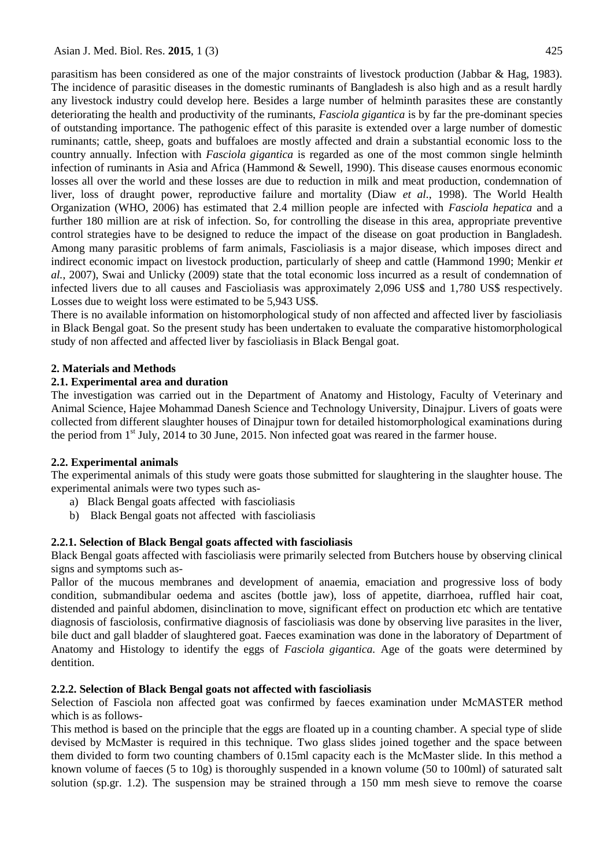parasitism has been considered as one of the major constraints of livestock production (Jabbar & Hag, 1983). The incidence of parasitic diseases in the domestic ruminants of Bangladesh is also high and as a result hardly any livestock industry could develop here. Besides a large number of helminth parasites these are constantly deteriorating the health and productivity of the ruminants, *Fasciola gigantica* is by far the pre-dominant species of outstanding importance. The pathogenic effect of this parasite is extended over a large number of domestic ruminants; cattle, sheep, goats and buffaloes are mostly affected and drain a substantial economic loss to the country annually. Infection with *Fasciola gigantica* is regarded as one of the most common single helminth infection of ruminants in Asia and Africa (Hammond & Sewell, 1990). This disease causes enormous economic losses all over the world and these losses are due to reduction in milk and meat production, condemnation of liver, loss of draught power, reproductive failure and mortality (Diaw *et al.*, 1998). The World Health Organization (WHO, 2006) has estimated that 2.4 million people are infected with *Fasciola hepatica* and a further 180 million are at risk of infection. So, for controlling the disease in this area, appropriate preventive control strategies have to be designed to reduce the impact of the disease on goat production in Bangladesh. Among many parasitic problems of farm animals, Fascioliasis is a major disease, which imposes direct and indirect economic impact on livestock production, particularly of sheep and cattle (Hammond 1990; Menkir *et al.*, 2007), Swai and Unlicky (2009) state that the total economic loss incurred as a result of condemnation of infected livers due to all causes and Fascioliasis was approximately 2,096 US\$ and 1,780 US\$ respectively. Losses due to weight loss were estimated to be 5,943 US\$.

There is no available information on histomorphological study of non affected and affected liver by fascioliasis in Black Bengal goat. So the present study has been undertaken to evaluate the comparative histomorphological study of non affected and affected liver by fascioliasis in Black Bengal goat.

# **2. Materials and Methods**

### **2.1. Experimental area and duration**

The investigation was carried out in the Department of Anatomy and Histology, Faculty of Veterinary and Animal Science, Hajee Mohammad Danesh Science and Technology University, Dinajpur. Livers of goats were collected from different slaughter houses of Dinajpur town for detailed histomorphological examinations during the period from 1<sup>st</sup> July, 2014 to 30 June, 2015. Non infected goat was reared in the farmer house.

### **2.2. Experimental animals**

The experimental animals of this study were goats those submitted for slaughtering in the slaughter house. The experimental animals were two types such as-

- a) Black Bengal goats affected with fascioliasis
- b) Black Bengal goats not affected with fascioliasis

# **2.2.1. Selection of Black Bengal goats affected with fascioliasis**

Black Bengal goats affected with fascioliasis were primarily selected from Butchers house by observing clinical signs and symptoms such as-

Pallor of the mucous membranes and development of anaemia, emaciation and progressive loss of body condition, submandibular oedema and ascites (bottle jaw), loss of appetite, diarrhoea, ruffled hair coat, distended and painful abdomen, disinclination to move, significant effect on production etc which are tentative diagnosis of fasciolosis, confirmative diagnosis of fascioliasis was done by observing live parasites in the liver, bile duct and gall bladder of slaughtered goat. Faeces examination was done in the laboratory of Department of Anatomy and Histology to identify the eggs of *Fasciola gigantica.* Age of the goats were determined by dentition.

### **2.2.2. Selection of Black Bengal goats not affected with fascioliasis**

Selection of Fasciola non affected goat was confirmed by faeces examination under McMASTER method which is as follows-

This method is based on the principle that the eggs are floated up in a counting chamber. A special type of slide devised by McMaster is required in this technique. Two glass slides joined together and the space between them divided to form two counting chambers of 0.15ml capacity each is the McMaster slide. In this method a known volume of faeces (5 to 10g) is thoroughly suspended in a known volume (50 to 100ml) of saturated salt solution (sp.gr. 1.2). The suspension may be strained through a 150 mm mesh sieve to remove the coarse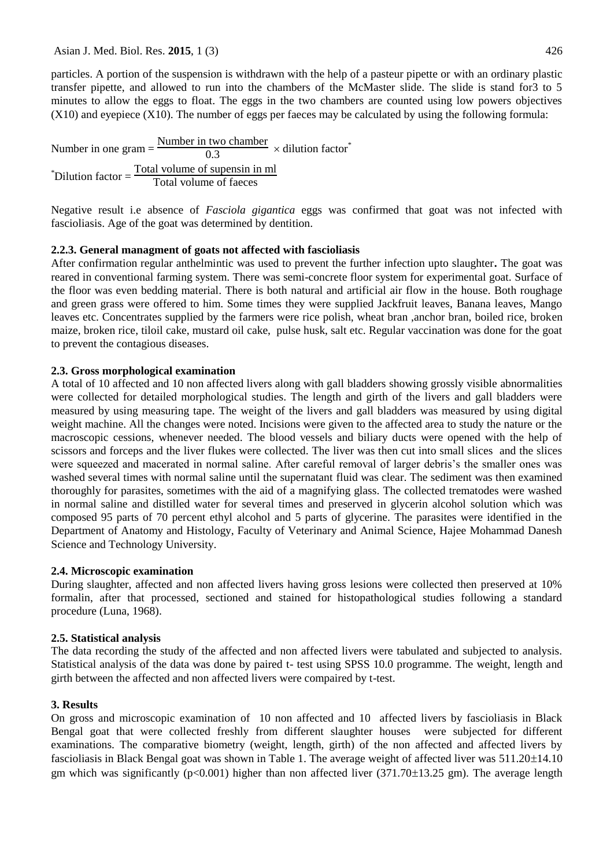Asian J. Med. Biol. Res. **2015**, 1 (3) 426

particles. A portion of the suspension is withdrawn with the help of a pasteur pipette or with an ordinary plastic transfer pipette, and allowed to run into the chambers of the McMaster slide. The slide is stand for3 to 5 minutes to allow the eggs to float. The eggs in the two chambers are counted using low powers objectives (X10) and eyepiece (X10). The number of eggs per faeces may be calculated by using the following formula:

Number in one gram  $=$   $\frac{\text{Number in two chamber}}{0.3} \times \text{dilution factor}^*$  $i^*$ Dilution factor =  $\frac{\text{Total volume of supensin in ml}}{\text{Total volume of faces}}$ Total volume of faeces

Negative result i.e absence of *Fasciola gigantica* eggs was confirmed that goat was not infected with fascioliasis. Age of the goat was determined by dentition.

# **2.2.3. General managment of goats not affected with fascioliasis**

After confirmation regular anthelmintic was used to prevent the further infection upto slaughter**.** The goat was reared in conventional farming system. There was semi-concrete floor system for experimental goat. Surface of the floor was even bedding material. There is both natural and artificial air flow in the house. Both roughage and green grass were offered to him. Some times they were supplied Jackfruit leaves, Banana leaves, Mango leaves etc. Concentrates supplied by the farmers were rice polish, wheat bran ,anchor bran, boiled rice, broken maize, broken rice, tiloil cake, mustard oil cake, pulse husk, salt etc. Regular vaccination was done for the goat to prevent the contagious diseases.

# **2.3. Gross morphological examination**

A total of 10 affected and 10 non affected livers along with gall bladders showing grossly visible abnormalities were collected for detailed morphological studies. The length and girth of the livers and gall bladders were measured by using measuring tape. The weight of the livers and gall bladders was measured by using digital weight machine. All the changes were noted. Incisions were given to the affected area to study the nature or the macroscopic cessions, whenever needed. The blood vessels and biliary ducts were opened with the help of scissors and forceps and the liver flukes were collected. The liver was then cut into small slices and the slices were squeezed and macerated in normal saline. After careful removal of larger debris's the smaller ones was washed several times with normal saline until the supernatant fluid was clear. The sediment was then examined thoroughly for parasites, sometimes with the aid of a magnifying glass. The collected trematodes were washed in normal saline and distilled water for several times and preserved in glycerin alcohol solution which was composed 95 parts of 70 percent ethyl alcohol and 5 parts of glycerine. The parasites were identified in the Department of Anatomy and Histology, Faculty of Veterinary and Animal Science, Hajee Mohammad Danesh Science and Technology University.

### **2.4. Microscopic examination**

During slaughter, affected and non affected livers having gross lesions were collected then preserved at 10% formalin, after that processed, sectioned and stained for histopathological studies following a standard procedure (Luna, 1968).

### **2.5. Statistical analysis**

The data recording the study of the affected and non affected livers were tabulated and subjected to analysis. Statistical analysis of the data was done by paired t- test using SPSS 10.0 programme. The weight, length and girth between the affected and non affected livers were compaired by t-test.

# **3. Results**

On gross and microscopic examination of 10 non affected and 10 affected livers by fascioliasis in Black Bengal goat that were collected freshly from different slaughter houses were subjected for different examinations. The comparative biometry (weight, length, girth) of the non affected and affected livers by fascioliasis in Black Bengal goat was shown in Table 1. The average weight of affected liver was  $511.20\pm14.10$ gm which was significantly ( $p<0.001$ ) higher than non affected liver (371.70 $\pm$ 13.25 gm). The average length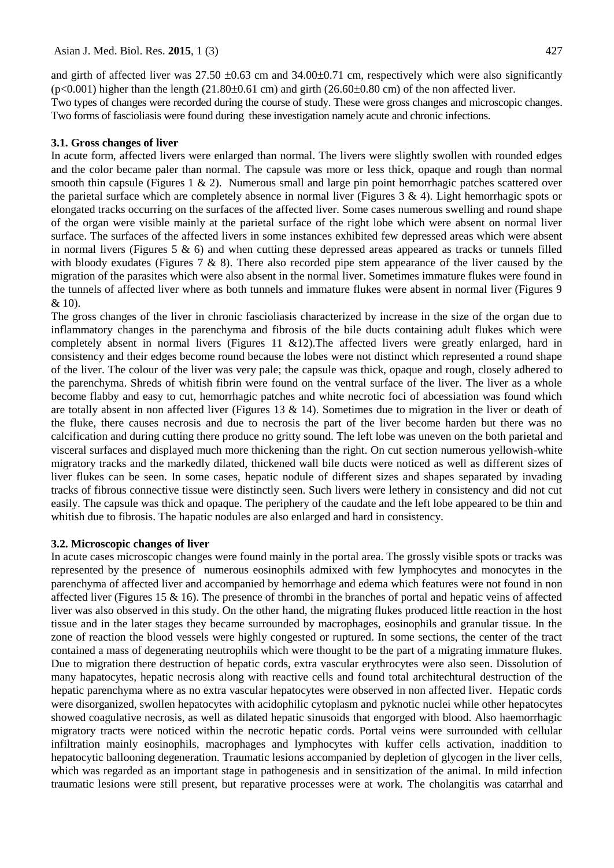and girth of affected liver was 27.50  $\pm$ 0.63 cm and 34.00 $\pm$ 0.71 cm, respectively which were also significantly  $(p<0.001)$  higher than the length  $(21.80\pm0.61 \text{ cm})$  and girth  $(26.60\pm0.80 \text{ cm})$  of the non affected liver. Two types of changes were recorded during the course of study. These were gross changes and microscopic changes. Two forms of fascioliasis were found during these investigation namely acute and chronic infections.

### **3.1. Gross changes of liver**

In acute form, affected livers were enlarged than normal. The livers were slightly swollen with rounded edges and the color became paler than normal. The capsule was more or less thick, opaque and rough than normal smooth thin capsule (Figures 1 & 2). Numerous small and large pin point hemorrhagic patches scattered over the parietal surface which are completely absence in normal liver (Figures  $3 \& 4$ ). Light hemorrhagic spots or elongated tracks occurring on the surfaces of the affected liver. Some cases numerous swelling and round shape of the organ were visible mainly at the parietal surface of the right lobe which were absent on normal liver surface. The surfaces of the affected livers in some instances exhibited few depressed areas which were absent in normal livers (Figures 5  $\&$  6) and when cutting these depressed areas appeared as tracks or tunnels filled with bloody exudates (Figures  $7 \& 8$ ). There also recorded pipe stem appearance of the liver caused by the migration of the parasites which were also absent in the normal liver. Sometimes immature flukes were found in the tunnels of affected liver where as both tunnels and immature flukes were absent in normal liver (Figures 9 & 10).

The gross changes of the liver in chronic fascioliasis characterized by increase in the size of the organ due to inflammatory changes in the parenchyma and fibrosis of the bile ducts containing adult flukes which were completely absent in normal livers (Figures 11 &12).The affected livers were greatly enlarged, hard in consistency and their edges become round because the lobes were not distinct which represented a round shape of the liver. The colour of the liver was very pale; the capsule was thick, opaque and rough, closely adhered to the parenchyma. Shreds of whitish fibrin were found on the ventral surface of the liver. The liver as a whole become flabby and easy to cut, hemorrhagic patches and white necrotic foci of abcessiation was found which are totally absent in non affected liver (Figures 13 & 14). Sometimes due to migration in the liver or death of the fluke, there causes necrosis and due to necrosis the part of the liver become harden but there was no calcification and during cutting there produce no gritty sound. The left lobe was uneven on the both parietal and visceral surfaces and displayed much more thickening than the right. On cut section numerous yellowish-white migratory tracks and the markedly dilated, thickened wall bile ducts were noticed as well as different sizes of liver flukes can be seen. In some cases, hepatic nodule of different sizes and shapes separated by invading tracks of fibrous connective tissue were distinctly seen. Such livers were lethery in consistency and did not cut easily. The capsule was thick and opaque. The periphery of the caudate and the left lobe appeared to be thin and whitish due to fibrosis. The hapatic nodules are also enlarged and hard in consistency.

#### **3.2. Microscopic changes of liver**

In acute cases microscopic changes were found mainly in the portal area. The grossly visible spots or tracks was represented by the presence of numerous eosinophils admixed with few lymphocytes and monocytes in the parenchyma of affected liver and accompanied by hemorrhage and edema which features were not found in non affected liver (Figures 15  $\&$  16). The presence of thrombi in the branches of portal and hepatic veins of affected liver was also observed in this study. On the other hand, the migrating flukes produced little reaction in the host tissue and in the later stages they became surrounded by macrophages, eosinophils and granular tissue. In the zone of reaction the blood vessels were highly congested or ruptured. In some sections, the center of the tract contained a mass of degenerating neutrophils which were thought to be the part of a migrating immature flukes. Due to migration there destruction of hepatic cords, extra vascular erythrocytes were also seen. Dissolution of many hapatocytes, hepatic necrosis along with reactive cells and found total architechtural destruction of the hepatic parenchyma where as no extra vascular hepatocytes were observed in non affected liver. Hepatic cords were disorganized, swollen hepatocytes with acidophilic cytoplasm and pyknotic nuclei while other hepatocytes showed coagulative necrosis, as well as dilated hepatic sinusoids that engorged with blood. Also haemorrhagic migratory tracts were noticed within the necrotic hepatic cords. Portal veins were surrounded with cellular infiltration mainly eosinophils, macrophages and lymphocytes with kuffer cells activation, inaddition to hepatocytic ballooning degeneration. Traumatic lesions accompanied by depletion of glycogen in the liver cells, which was regarded as an important stage in pathogenesis and in sensitization of the animal. In mild infection traumatic lesions were still present, but reparative processes were at work. The cholangitis was catarrhal and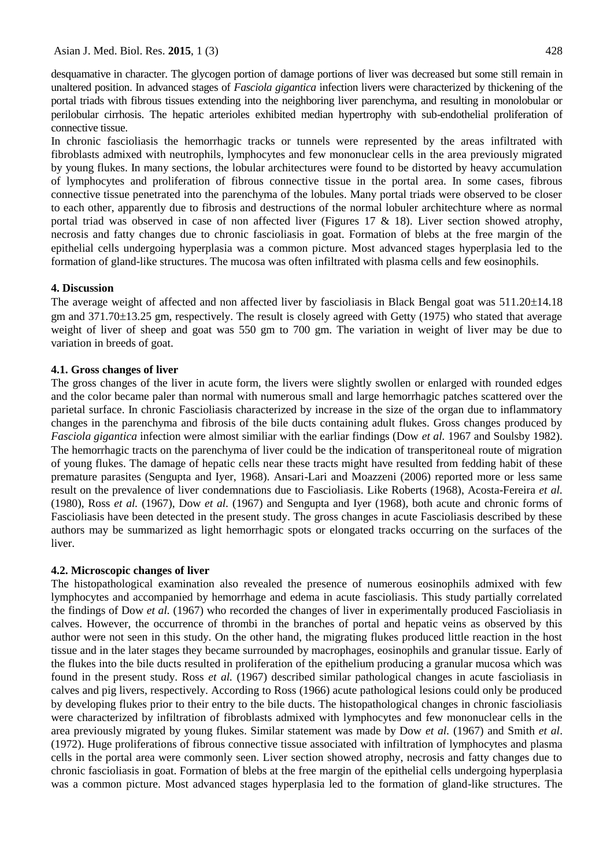desquamative in character. The glycogen portion of damage portions of liver was decreased but some still remain in unaltered position. In advanced stages of *Fasciola gigantica* infection livers were characterized by thickening of the portal triads with fibrous tissues extending into the neighboring liver parenchyma, and resulting in monolobular or perilobular cirrhosis. The hepatic arterioles exhibited median hypertrophy with sub-endothelial proliferation of connective tissue.

In chronic fascioliasis the hemorrhagic tracks or tunnels were represented by the areas infiltrated with fibroblasts admixed with neutrophils, lymphocytes and few mononuclear cells in the area previously migrated by young flukes. In many sections, the lobular architectures were found to be distorted by heavy accumulation of lymphocytes and proliferation of fibrous connective tissue in the portal area. In some cases, fibrous connective tissue penetrated into the parenchyma of the lobules. Many portal triads were observed to be closer to each other, apparently due to fibrosis and destructions of the normal lobuler architechture where as normal portal triad was observed in case of non affected liver (Figures 17  $\&$  18). Liver section showed atrophy, necrosis and fatty changes due to chronic fascioliasis in goat. Formation of blebs at the free margin of the epithelial cells undergoing hyperplasia was a common picture. Most advanced stages hyperplasia led to the formation of gland-like structures. The mucosa was often infiltrated with plasma cells and few eosinophils.

### **4. Discussion**

The average weight of affected and non affected liver by fascioliasis in Black Bengal goat was  $511.20\pm14.18$ gm and  $371.70\pm13.25$  gm, respectively. The result is closely agreed with Getty (1975) who stated that average weight of liver of sheep and goat was 550 gm to 700 gm. The variation in weight of liver may be due to variation in breeds of goat.

### **4.1. Gross changes of liver**

The gross changes of the liver in acute form, the livers were slightly swollen or enlarged with rounded edges and the color became paler than normal with numerous small and large hemorrhagic patches scattered over the parietal surface. In chronic Fascioliasis characterized by increase in the size of the organ due to inflammatory changes in the parenchyma and fibrosis of the bile ducts containing adult flukes. Gross changes produced by *Fasciola gigantica* infection were almost similiar with the earliar findings (Dow *et al.* 1967 and Soulsby 1982). The hemorrhagic tracts on the parenchyma of liver could be the indication of transperitoneal route of migration of young flukes. The damage of hepatic cells near these tracts might have resulted from fedding habit of these premature parasites (Sengupta and Iyer, 1968). Ansari-Lari and Moazzeni (2006) reported more or less same result on the prevalence of liver condemnations due to Fascioliasis. Like Roberts (1968), Acosta-Fereira *et al.*  (1980), Ross *et al.* (1967), Dow *et al.* (1967) and Sengupta and Iyer (1968), both acute and chronic forms of Fascioliasis have been detected in the present study. The gross changes in acute Fascioliasis described by these authors may be summarized as light hemorrhagic spots or elongated tracks occurring on the surfaces of the liver.

#### **4.2. Microscopic changes of liver**

The histopathological examination also revealed the presence of numerous eosinophils admixed with few lymphocytes and accompanied by hemorrhage and edema in acute fascioliasis. This study partially correlated the findings of Dow *et al.* (1967) who recorded the changes of liver in experimentally produced Fascioliasis in calves. However, the occurrence of thrombi in the branches of portal and hepatic veins as observed by this author were not seen in this study. On the other hand, the migrating flukes produced little reaction in the host tissue and in the later stages they became surrounded by macrophages, eosinophils and granular tissue. Early of the flukes into the bile ducts resulted in proliferation of the epithelium producing a granular mucosa which was found in the present study. Ross *et al.* (1967) described similar pathological changes in acute fascioliasis in calves and pig livers, respectively. According to Ross (1966) acute pathological lesions could only be produced by developing flukes prior to their entry to the bile ducts. The histopathological changes in chronic fascioliasis were characterized by infiltration of fibroblasts admixed with lymphocytes and few mononuclear cells in the area previously migrated by young flukes. Similar statement was made by Dow *et al.* (1967) and Smith *et al*. (1972). Huge proliferations of fibrous connective tissue associated with infiltration of lymphocytes and plasma cells in the portal area were commonly seen. Liver section showed atrophy, necrosis and fatty changes due to chronic fascioliasis in goat. Formation of blebs at the free margin of the epithelial cells undergoing hyperplasia was a common picture. Most advanced stages hyperplasia led to the formation of gland-like structures. The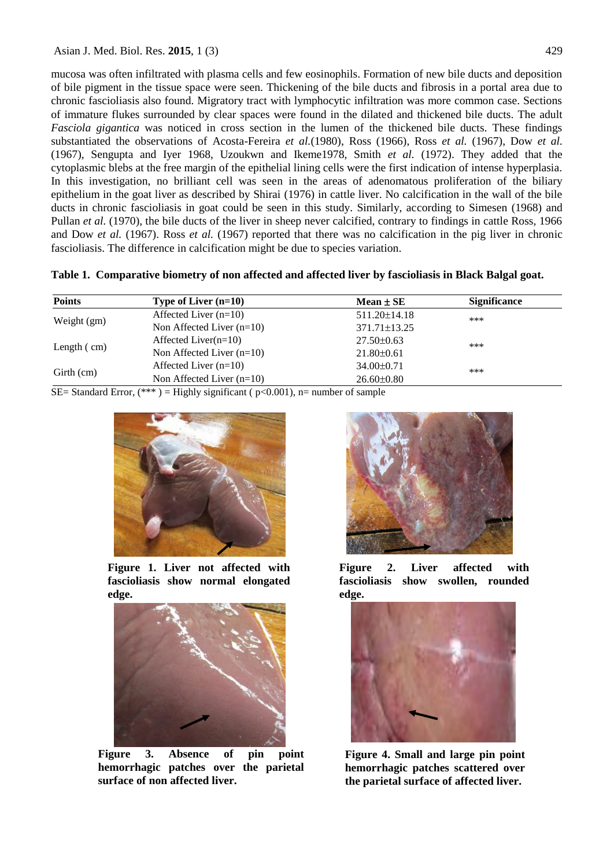mucosa was often infiltrated with plasma cells and few eosinophils. Formation of new bile ducts and deposition of bile pigment in the tissue space were seen. Thickening of the bile ducts and fibrosis in a portal area due to chronic fascioliasis also found. Migratory tract with lymphocytic infiltration was more common case. Sections of immature flukes surrounded by clear spaces were found in the dilated and thickened bile ducts. The adult *Fasciola gigantica* was noticed in cross section in the lumen of the thickened bile ducts. These findings substantiated the observations of Acosta-Fereira *et al.*(1980), Ross (1966), Ross *et al.* (1967), Dow *et al.* (1967), Sengupta and Iyer 1968, Uzoukwn and Ikeme1978, Smith *et al.* (1972). They added that the cytoplasmic blebs at the free margin of the epithelial lining cells were the first indication of intense hyperplasia. In this investigation, no brilliant cell was seen in the areas of adenomatous proliferation of the biliary epithelium in the goat liver as described by Shirai (1976) in cattle liver. No calcification in the wall of the bile ducts in chronic fascioliasis in goat could be seen in this study. Similarly, according to Simesen (1968) and Pullan *et al.* (1970), the bile ducts of the liver in sheep never calcified, contrary to findings in cattle Ross, 1966 and Dow *et al.* (1967). Ross *et al.* (1967) reported that there was no calcification in the pig liver in chronic fascioliasis. The difference in calcification might be due to species variation.

| Table 1. Comparative biometry of non affected and affected liver by fascioliasis in Black Balgal goat. |
|--------------------------------------------------------------------------------------------------------|
|--------------------------------------------------------------------------------------------------------|

| <b>Points</b>         | Type of Liver $(n=10)$      | $Mean \pm SE$      | <b>Significance</b> |
|-----------------------|-----------------------------|--------------------|---------------------|
| Weight (gm)           | Affected Liver $(n=10)$     | $511.20 \pm 14.18$ | ***                 |
|                       | Non Affected Liver $(n=10)$ | $371.71 \pm 13.25$ |                     |
| Length $\epsilon$ cm) | Affected Liver $(n=10)$     | $27.50 \pm 0.63$   | ***                 |
|                       | Non Affected Liver $(n=10)$ | $21.80 \pm 0.61$   |                     |
| Girth (cm)            | Affected Liver $(n=10)$     | $34.00 \pm 0.71$   | ***                 |
|                       | Non Affected Liver $(n=10)$ | $26.60 \pm 0.80$   |                     |

SE= Standard Error,  $(***$ ) = Highly significant ( $p<0.001$ ), n= number of sample



**Figure 1. Liver not affected with fascioliasis show normal elongated edge.**



**Figure 3. Absence of pin point hemorrhagic patches over the parietal surface of non affected liver.**



**Figure 2. Liver affected with fascioliasis show swollen, rounded edge.**



**Figure 4. Small and large pin point hemorrhagic patches scattered over the parietal surface of affected liver.**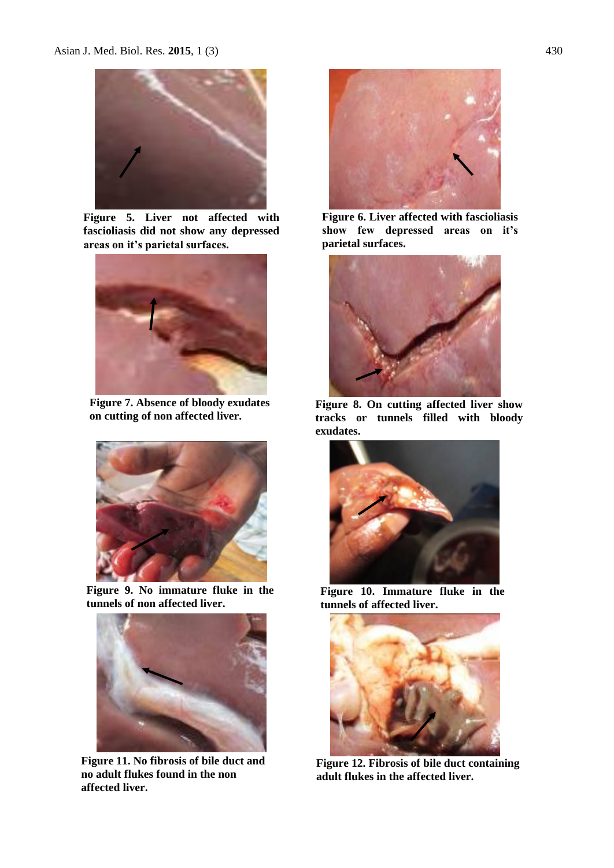

**Figure 5. Liver not affected with fascioliasis did not show any depressed areas on it's parietal surfaces.**



**Figure 7. Absence of bloody exudates on cutting of non affected liver.**



**Figure 9. No immature fluke in the tunnels of non affected liver.**



**Figure 11. No fibrosis of bile duct and no adult flukes found in the non affected liver.**



**Figure 6. Liver affected with fascioliasis show few depressed areas on it's parietal surfaces.**



**Figure 8. On cutting affected liver show tracks or tunnels filled with bloody exudates.**



**Figure 10. Immature fluke in the tunnels of affected liver.**



**Figure 12. Fibrosis of bile duct containing adult flukes in the affected liver.**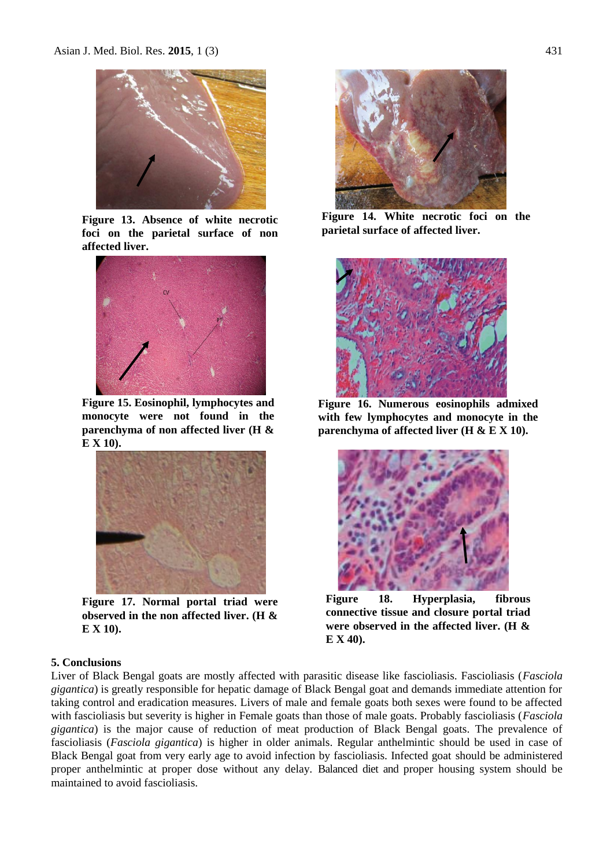

**Figure 13. Absence of white necrotic foci on the parietal surface of non affected liver.**



**Figure 15. Eosinophil, lymphocytes and monocyte were not found in the parenchyma of non affected liver (H & E X 10).**



**Figure 17. Normal portal triad were observed in the non affected liver. (H & E X 10).**



**Figure 14. White necrotic foci on the parietal surface of affected liver.**



**Figure 16. Numerous eosinophils admixed with few lymphocytes and monocyte in the parenchyma of affected liver (H & E X 10).**



**Figure 18. Hyperplasia, fibrous connective tissue and closure portal triad were observed in the affected liver. (H & E X 40).**

### **5. Conclusions**

Liver of Black Bengal goats are mostly affected with parasitic disease like fascioliasis. Fascioliasis (*Fasciola gigantica*) is greatly responsible for hepatic damage of Black Bengal goat and demands immediate attention for taking control and eradication measures. Livers of male and female goats both sexes were found to be affected with fascioliasis but severity is higher in Female goats than those of male goats. Probably fascioliasis (*Fasciola gigantica*) is the major cause of reduction of meat production of Black Bengal goats. The prevalence of fascioliasis (*Fasciola gigantica*) is higher in older animals. Regular anthelmintic should be used in case of Black Bengal goat from very early age to avoid infection by fascioliasis. Infected goat should be administered proper anthelmintic at proper dose without any delay. Balanced diet and proper housing system should be maintained to avoid fascioliasis.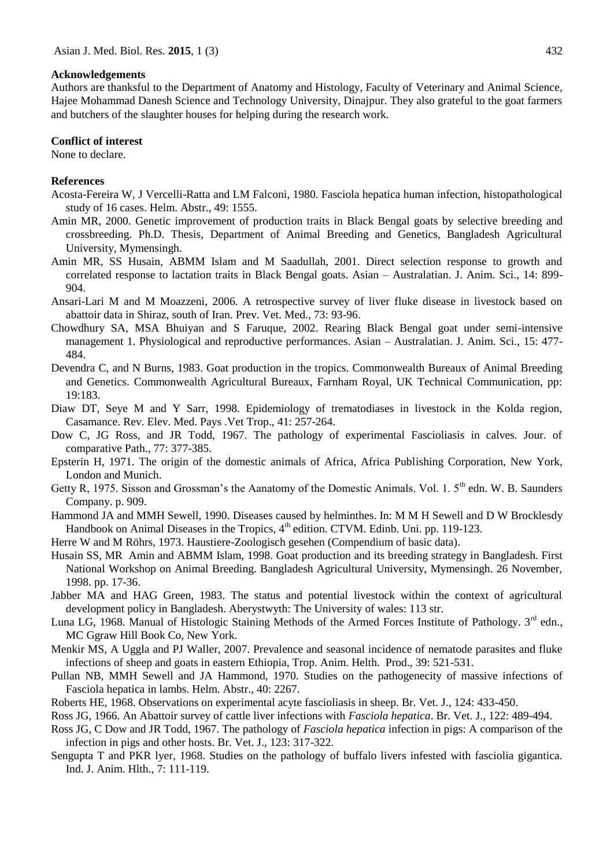#### **Acknowledgements**

Authors are thanksful to the Department of Anatomy and Histology, Faculty of Veterinary and Animal Science, Hajee Mohammad Danesh Science and Technology University, Dinajpur. They also grateful to the goat farmers and butchers of the slaughter houses for helping during the research work.

#### **Conflict of interest**

None to declare.

#### **References**

- Acosta-Fereira W, J Vercelli-Ratta and LM Falconi, 1980. Fasciola hepatica human infection, histopathological study of 16 cases. Helm. Abstr., 49: 1555.
- Amin MR, 2000. Genetic improvement of production traits in Black Bengal goats by selective breeding and crossbreeding. Ph.D. Thesis, Department of Animal Breeding and Genetics, Bangladesh Agricultural University, Mymensingh.
- Amin MR, SS Husain, ABMM Islam and M Saadullah, 2001. Direct selection response to growth and correlated response to lactation traits in Black Bengal goats. Asian – Australatian. J. Anim. Sci., 14: 899- 904.
- Ansari-Lari M and M Moazzeni, 2006. A retrospective survey of liver fluke disease in livestock based on abattoir data in Shiraz, south of Iran. Prev. Vet. Med., 73: 93-96.
- Chowdhury SA, MSA Bhuiyan and S Faruque, 2002. Rearing Black Bengal goat under semi-intensive management 1. Physiological and reproductive performances. Asian – Australatian. J. Anim. Sci., 15: 477- 484.
- Devendra C, and N Burns, 1983. Goat production in the tropics. Commonwealth Bureaux of Animal Breeding and Genetics. Commonwealth Agricultural Bureaux, Farnham Royal, UK Technical Communication, pp: 19:183.
- Diaw DT, Seye M and Y Sarr, 1998. Epidemiology of trematodiases in livestock in the Kolda region, Casamance. Rev. Elev. Med. Pays .Vet Trop., 41: 257-264.
- Dow C, JG Ross, and JR Todd, 1967. The pathology of experimental Fascioliasis in calves. Jour. of comparative Path., 77: 377-385.
- Epsterin H, 1971. The origin of the domestic animals of Africa, Africa Publishing Corporation, New York, London and Munich.
- Getty R, 1975. Sisson and Grossman's the Aanatomy of the Domestic Animals. Vol. 1. 5<sup>th</sup> edn. W. B. Saunders Company. p. 909.
- Hammond JA and MMH Sewell, 1990. Diseases caused by helminthes. In: M M H Sewell and D W Brocklesdy Handbook on Animal Diseases in the Tropics,  $4<sup>th</sup>$  edition. CTVM. Edinb. Uni. pp. 119-123.
- Herre W and M Röhrs, 1973. Haustiere-Zoologisch gesehen (Compendium of basic data).
- Husain SS, MR Amin and ABMM Islam, 1998. Goat production and its breeding strategy in Bangladesh. First National Workshop on Animal Breeding. Bangladesh Agricultural University, Mymensingh. 26 November, 1998. pp. 17-36.
- Jabber MA and HAG Green, 1983. The status and potential livestock within the context of agricultural development policy in Bangladesh. Aberystwyth: The University of wales: 113 str.
- Luna LG, 1968. Manual of Histologic Staining Methods of the Armed Forces Institute of Pathology. 3<sup>rd</sup> edn., MC Ggraw Hill Book Co, New York.
- Menkir MS, A Uggla and PJ Waller, 2007. Prevalence and seasonal incidence of nematode parasites and fluke infections of sheep and goats in eastern Ethiopia, Trop. Anim. Helth. Prod., 39: 521-531.
- Pullan NB, MMH Sewell and JA Hammond, 1970. Studies on the pathogenecity of massive infections of Fasciola hepatica in lambs. Helm. Abstr., 40: 2267.
- Roberts HE, 1968. Observations on experimental acyte fascioliasis in sheep. Br. Vet. J., 124: 433-450.
- Ross JG, 1966. An Abattoir survey of cattle liver infections with *Fasciola hepatica*. Br. Vet. J., 122: 489-494.
- Ross JG, C Dow and JR Todd, 1967. The pathology of *Fasciola hepatica* infection in pigs: A comparison of the infection in pigs and other hosts. Br. Vet. J., 123: 317-322.
- Sengupta T and PKR lyer, 1968. Studies on the pathology of buffalo livers infested with fasciolia gigantica. Ind. J. Anim. Hlth., 7: 111-119.